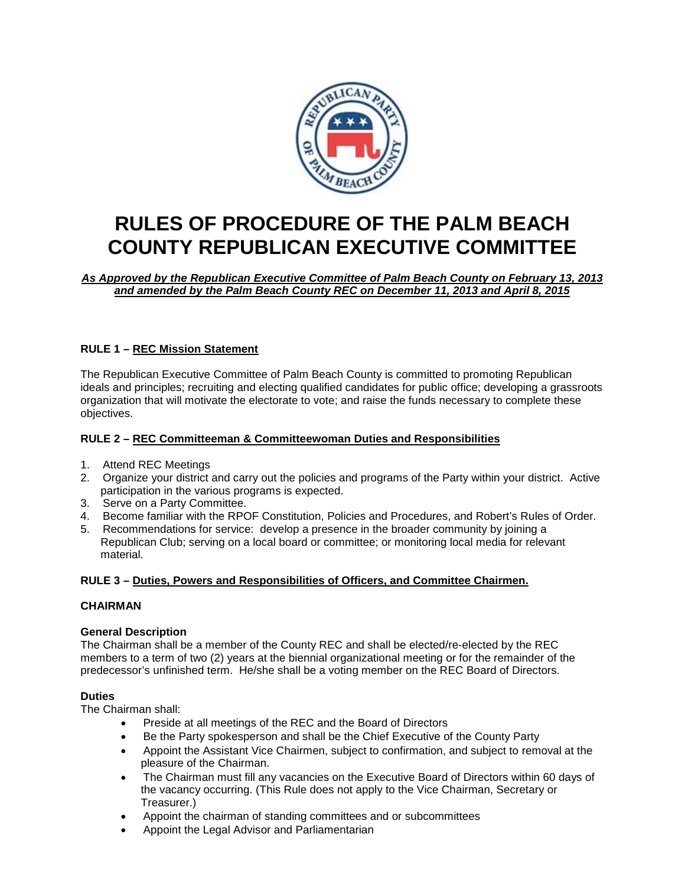

# **RULES OF PROCEDURE OF THE PALM BEACH COUNTY REPUBLICAN EXECUTIVE COMMITTEE**

*As Approved by the Republican Executive Committee of Palm Beach County on February 13, 2013 and amended by the Palm Beach County REC on December 11, 2013 and April 8, 2015*

# **RULE 1 – REC Mission Statement**

The Republican Executive Committee of Palm Beach County is committed to promoting Republican ideals and principles; recruiting and electing qualified candidates for public office; developing a grassroots organization that will motivate the electorate to vote; and raise the funds necessary to complete these objectives.

## **RULE 2 – REC Committeeman & Committeewoman Duties and Responsibilities**

- 1. Attend REC Meetings
- 2. Organize your district and carry out the policies and programs of the Party within your district. Active participation in the various programs is expected.
- 3. Serve on a Party Committee.
- 4. Become familiar with the RPOF Constitution, Policies and Procedures, and Robert's Rules of Order.
- 5. Recommendations for service: develop a presence in the broader community by joining a Republican Club; serving on a local board or committee; or monitoring local media for relevant material.

# **RULE 3 – Duties, Powers and Responsibilities of Officers, and Committee Chairmen.**

## **CHAIRMAN**

## **General Description**

The Chairman shall be a member of the County REC and shall be elected/re-elected by the REC members to a term of two (2) years at the biennial organizational meeting or for the remainder of the predecessor's unfinished term. He/she shall be a voting member on the REC Board of Directors.

## **Duties**

The Chairman shall:

- Preside at all meetings of the REC and the Board of Directors
- Be the Party spokesperson and shall be the Chief Executive of the County Party
- Appoint the Assistant Vice Chairmen, subject to confirmation, and subject to removal at the pleasure of the Chairman.
- The Chairman must fill any vacancies on the Executive Board of Directors within 60 days of the vacancy occurring. (This Rule does not apply to the Vice Chairman, Secretary or Treasurer.)
- Appoint the chairman of standing committees and or subcommittees
- Appoint the Legal Advisor and Parliamentarian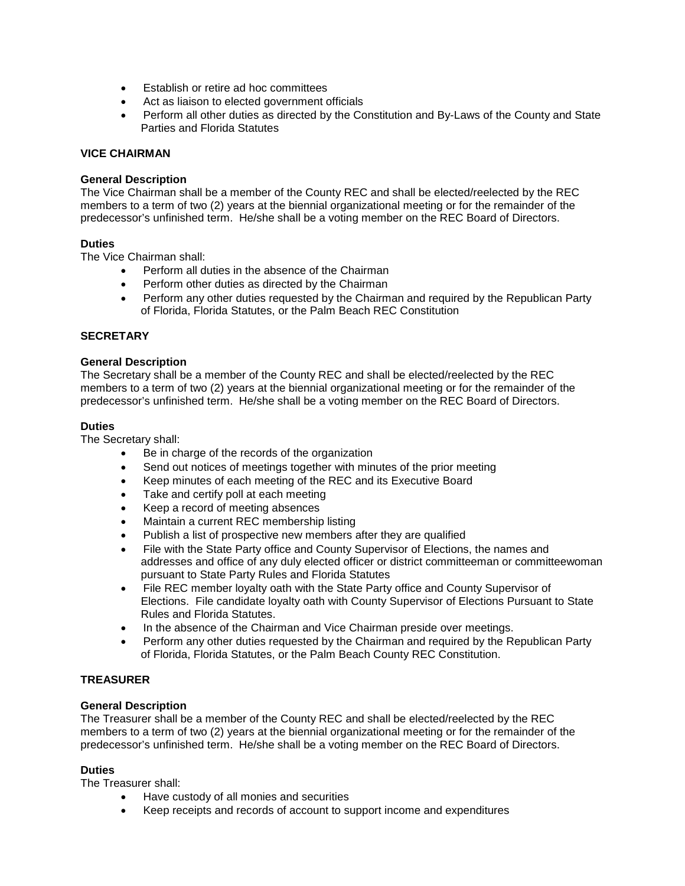- Establish or retire ad hoc committees
- Act as liaison to elected government officials
- Perform all other duties as directed by the Constitution and By-Laws of the County and State Parties and Florida Statutes

## **VICE CHAIRMAN**

## **General Description**

The Vice Chairman shall be a member of the County REC and shall be elected/reelected by the REC members to a term of two (2) years at the biennial organizational meeting or for the remainder of the predecessor's unfinished term. He/she shall be a voting member on the REC Board of Directors.

## **Duties**

The Vice Chairman shall:

- Perform all duties in the absence of the Chairman
- Perform other duties as directed by the Chairman
- Perform any other duties requested by the Chairman and required by the Republican Party of Florida, Florida Statutes, or the Palm Beach REC Constitution

## **SECRETARY**

#### **General Description**

The Secretary shall be a member of the County REC and shall be elected/reelected by the REC members to a term of two (2) years at the biennial organizational meeting or for the remainder of the predecessor's unfinished term. He/she shall be a voting member on the REC Board of Directors.

#### **Duties**

The Secretary shall:

- Be in charge of the records of the organization
- Send out notices of meetings together with minutes of the prior meeting
- Keep minutes of each meeting of the REC and its Executive Board
- Take and certify poll at each meeting
- Keep a record of meeting absences
- Maintain a current REC membership listing
- Publish a list of prospective new members after they are qualified
- File with the State Party office and County Supervisor of Elections, the names and addresses and office of any duly elected officer or district committeeman or committeewoman pursuant to State Party Rules and Florida Statutes
- File REC member loyalty oath with the State Party office and County Supervisor of Elections. File candidate loyalty oath with County Supervisor of Elections Pursuant to State Rules and Florida Statutes.
- In the absence of the Chairman and Vice Chairman preside over meetings.
- Perform any other duties requested by the Chairman and required by the Republican Party of Florida, Florida Statutes, or the Palm Beach County REC Constitution.

## **TREASURER**

## **General Description**

The Treasurer shall be a member of the County REC and shall be elected/reelected by the REC members to a term of two (2) years at the biennial organizational meeting or for the remainder of the predecessor's unfinished term. He/she shall be a voting member on the REC Board of Directors.

## **Duties**

The Treasurer shall:

- Have custody of all monies and securities
- Keep receipts and records of account to support income and expenditures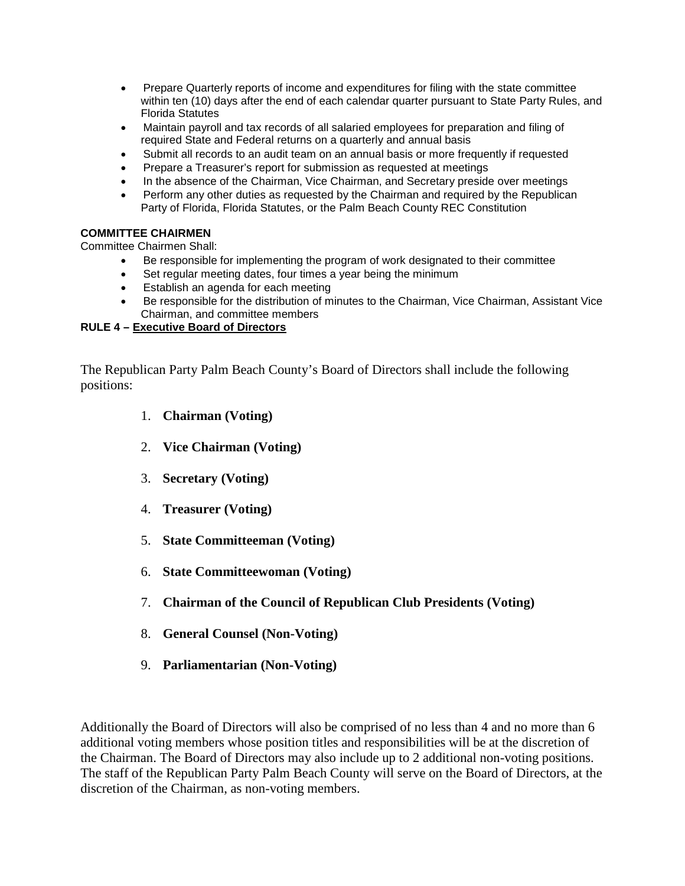- Prepare Quarterly reports of income and expenditures for filing with the state committee within ten (10) days after the end of each calendar quarter pursuant to State Party Rules, and Florida Statutes
- Maintain payroll and tax records of all salaried employees for preparation and filing of required State and Federal returns on a quarterly and annual basis
- Submit all records to an audit team on an annual basis or more frequently if requested
- Prepare a Treasurer's report for submission as requested at meetings
- In the absence of the Chairman, Vice Chairman, and Secretary preside over meetings
- Perform any other duties as requested by the Chairman and required by the Republican Party of Florida, Florida Statutes, or the Palm Beach County REC Constitution

# **COMMITTEE CHAIRMEN**

Committee Chairmen Shall:

- Be responsible for implementing the program of work designated to their committee
- Set regular meeting dates, four times a year being the minimum
- Establish an agenda for each meeting
- Be responsible for the distribution of minutes to the Chairman, Vice Chairman, Assistant Vice Chairman, and committee members

# **RULE 4 – Executive Board of Directors**

The Republican Party Palm Beach County's Board of Directors shall include the following positions:

- 1. **Chairman (Voting)**
- 2. **Vice Chairman (Voting)**
- 3. **Secretary (Voting)**
- 4. **Treasurer (Voting)**
- 5. **State Committeeman (Voting)**
- 6. **State Committeewoman (Voting)**
- 7. **Chairman of the Council of Republican Club Presidents (Voting)**
- 8. **General Counsel (Non-Voting)**
- 9. **Parliamentarian (Non-Voting)**

Additionally the Board of Directors will also be comprised of no less than 4 and no more than 6 additional voting members whose position titles and responsibilities will be at the discretion of the Chairman. The Board of Directors may also include up to 2 additional non-voting positions. The staff of the Republican Party Palm Beach County will serve on the Board of Directors, at the discretion of the Chairman, as non-voting members.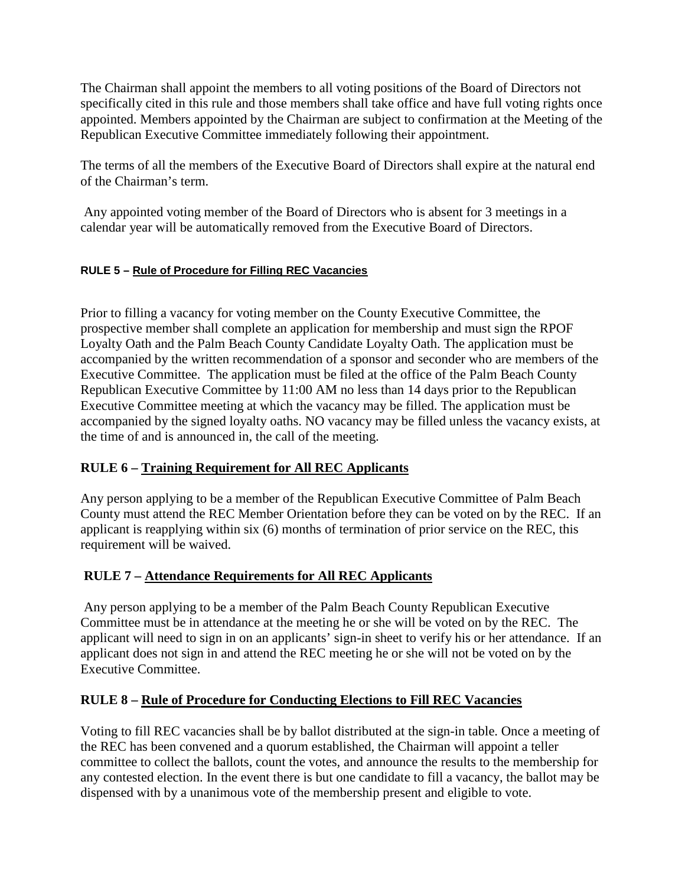The Chairman shall appoint the members to all voting positions of the Board of Directors not specifically cited in this rule and those members shall take office and have full voting rights once appointed. Members appointed by the Chairman are subject to confirmation at the Meeting of the Republican Executive Committee immediately following their appointment.

The terms of all the members of the Executive Board of Directors shall expire at the natural end of the Chairman's term.

Any appointed voting member of the Board of Directors who is absent for 3 meetings in a calendar year will be automatically removed from the Executive Board of Directors.

# **RULE 5 – Rule of Procedure for Filling REC Vacancies**

Prior to filling a vacancy for voting member on the County Executive Committee, the prospective member shall complete an application for membership and must sign the RPOF Loyalty Oath and the Palm Beach County Candidate Loyalty Oath. The application must be accompanied by the written recommendation of a sponsor and seconder who are members of the Executive Committee. The application must be filed at the office of the Palm Beach County Republican Executive Committee by 11:00 AM no less than 14 days prior to the Republican Executive Committee meeting at which the vacancy may be filled. The application must be accompanied by the signed loyalty oaths. NO vacancy may be filled unless the vacancy exists, at the time of and is announced in, the call of the meeting.

# **RULE 6 – Training Requirement for All REC Applicants**

Any person applying to be a member of the Republican Executive Committee of Palm Beach County must attend the REC Member Orientation before they can be voted on by the REC. If an applicant is reapplying within six (6) months of termination of prior service on the REC, this requirement will be waived.

# **RULE 7 – Attendance Requirements for All REC Applicants**

Any person applying to be a member of the Palm Beach County Republican Executive Committee must be in attendance at the meeting he or she will be voted on by the REC. The applicant will need to sign in on an applicants' sign-in sheet to verify his or her attendance. If an applicant does not sign in and attend the REC meeting he or she will not be voted on by the Executive Committee.

# **RULE 8 – Rule of Procedure for Conducting Elections to Fill REC Vacancies**

Voting to fill REC vacancies shall be by ballot distributed at the sign-in table. Once a meeting of the REC has been convened and a quorum established, the Chairman will appoint a teller committee to collect the ballots, count the votes, and announce the results to the membership for any contested election. In the event there is but one candidate to fill a vacancy, the ballot may be dispensed with by a unanimous vote of the membership present and eligible to vote.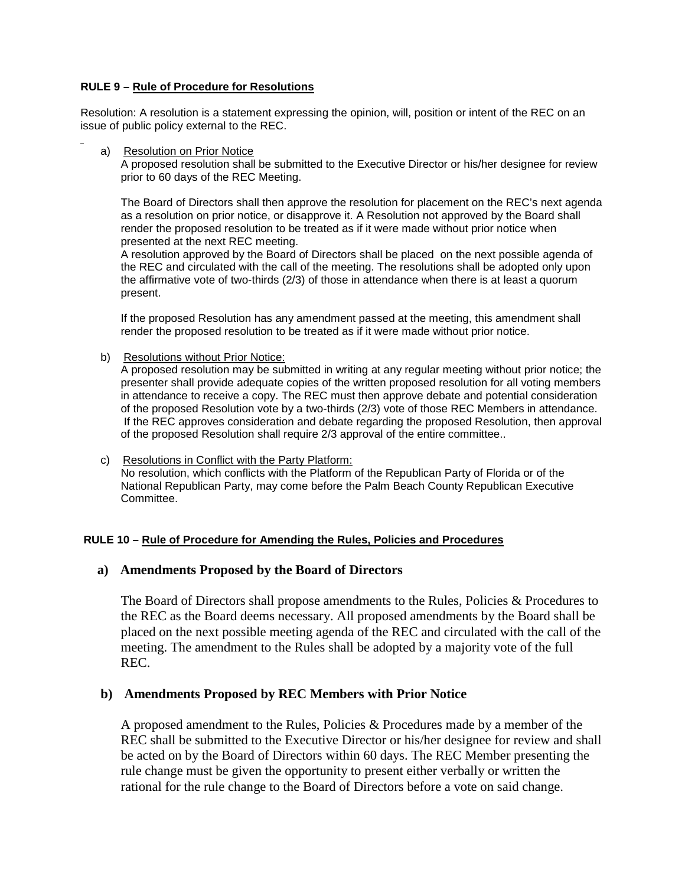# **RULE 9 – Rule of Procedure for Resolutions**

Resolution: A resolution is a statement expressing the opinion, will, position or intent of the REC on an issue of public policy external to the REC.

a) Resolution on Prior Notice

A proposed resolution shall be submitted to the Executive Director or his/her designee for review prior to 60 days of the REC Meeting.

The Board of Directors shall then approve the resolution for placement on the REC's next agenda as a resolution on prior notice, or disapprove it. A Resolution not approved by the Board shall render the proposed resolution to be treated as if it were made without prior notice when presented at the next REC meeting.

A resolution approved by the Board of Directors shall be placed on the next possible agenda of the REC and circulated with the call of the meeting. The resolutions shall be adopted only upon the affirmative vote of two-thirds (2/3) of those in attendance when there is at least a quorum present.

If the proposed Resolution has any amendment passed at the meeting, this amendment shall render the proposed resolution to be treated as if it were made without prior notice.

b) Resolutions without Prior Notice:

A proposed resolution may be submitted in writing at any regular meeting without prior notice; the presenter shall provide adequate copies of the written proposed resolution for all voting members in attendance to receive a copy. The REC must then approve debate and potential consideration of the proposed Resolution vote by a two-thirds (2/3) vote of those REC Members in attendance. If the REC approves consideration and debate regarding the proposed Resolution, then approval of the proposed Resolution shall require 2/3 approval of the entire committee..

c) Resolutions in Conflict with the Party Platform: No resolution, which conflicts with the Platform of the Republican Party of Florida or of the National Republican Party, may come before the Palm Beach County Republican Executive Committee.

## **RULE 10 – Rule of Procedure for Amending the Rules, Policies and Procedures**

# **a) Amendments Proposed by the Board of Directors**

The Board of Directors shall propose amendments to the Rules, Policies & Procedures to the REC as the Board deems necessary. All proposed amendments by the Board shall be placed on the next possible meeting agenda of the REC and circulated with the call of the meeting. The amendment to the Rules shall be adopted by a majority vote of the full REC.

# **b) Amendments Proposed by REC Members with Prior Notice**

A proposed amendment to the Rules, Policies & Procedures made by a member of the REC shall be submitted to the Executive Director or his/her designee for review and shall be acted on by the Board of Directors within 60 days. The REC Member presenting the rule change must be given the opportunity to present either verbally or written the rational for the rule change to the Board of Directors before a vote on said change.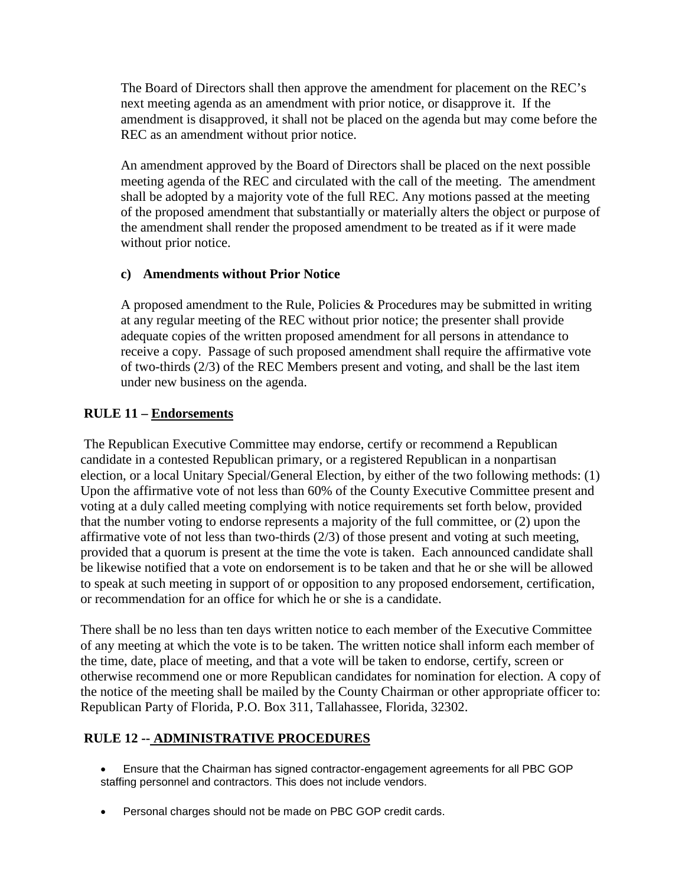The Board of Directors shall then approve the amendment for placement on the REC's next meeting agenda as an amendment with prior notice, or disapprove it. If the amendment is disapproved, it shall not be placed on the agenda but may come before the REC as an amendment without prior notice.

An amendment approved by the Board of Directors shall be placed on the next possible meeting agenda of the REC and circulated with the call of the meeting. The amendment shall be adopted by a majority vote of the full REC. Any motions passed at the meeting of the proposed amendment that substantially or materially alters the object or purpose of the amendment shall render the proposed amendment to be treated as if it were made without prior notice.

# **c) Amendments without Prior Notice**

A proposed amendment to the Rule, Policies & Procedures may be submitted in writing at any regular meeting of the REC without prior notice; the presenter shall provide adequate copies of the written proposed amendment for all persons in attendance to receive a copy. Passage of such proposed amendment shall require the affirmative vote of two-thirds (2/3) of the REC Members present and voting, and shall be the last item under new business on the agenda.

# **RULE 11 – Endorsements**

The Republican Executive Committee may endorse, certify or recommend a Republican candidate in a contested Republican primary, or a registered Republican in a nonpartisan election, or a local Unitary Special/General Election, by either of the two following methods: (1) Upon the affirmative vote of not less than 60% of the County Executive Committee present and voting at a duly called meeting complying with notice requirements set forth below, provided that the number voting to endorse represents a majority of the full committee, or (2) upon the affirmative vote of not less than two-thirds (2/3) of those present and voting at such meeting, provided that a quorum is present at the time the vote is taken. Each announced candidate shall be likewise notified that a vote on endorsement is to be taken and that he or she will be allowed to speak at such meeting in support of or opposition to any proposed endorsement, certification, or recommendation for an office for which he or she is a candidate.

There shall be no less than ten days written notice to each member of the Executive Committee of any meeting at which the vote is to be taken. The written notice shall inform each member of the time, date, place of meeting, and that a vote will be taken to endorse, certify, screen or otherwise recommend one or more Republican candidates for nomination for election. A copy of the notice of the meeting shall be mailed by the County Chairman or other appropriate officer to: Republican Party of Florida, P.O. Box 311, Tallahassee, Florida, 32302.

# **RULE 12 -- ADMINISTRATIVE PROCEDURES**

- Ensure that the Chairman has signed contractor-engagement agreements for all PBC GOP staffing personnel and contractors. This does not include vendors.
- Personal charges should not be made on PBC GOP credit cards.